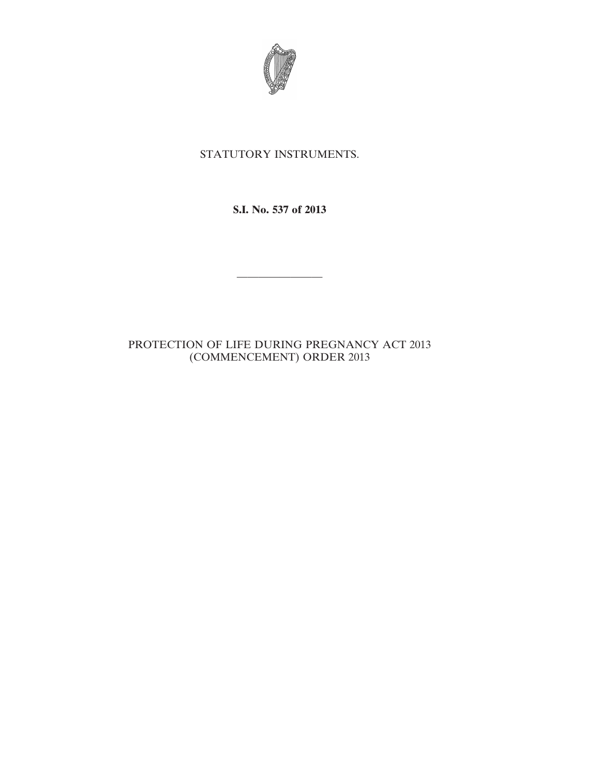

# STATUTORY INSTRUMENTS.

**S.I. No. 537 of 2013**

————————

# PROTECTION OF LIFE DURING PREGNANCY ACT 2013 (COMMENCEMENT) ORDER 2013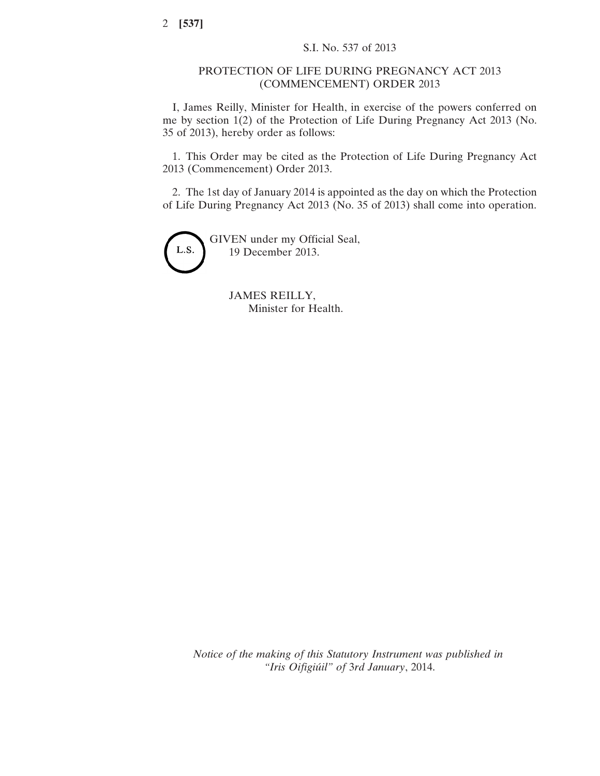### PROTECTION OF LIFE DURING PREGNANCY ACT 2013 (COMMENCEMENT) ORDER 2013

I, James Reilly, Minister for Health, in exercise of the powers conferred on me by section 1(2) of the Protection of Life During Pregnancy Act 2013 (No. 35 of 2013), hereby order as follows:

1. This Order may be cited as the Protection of Life During Pregnancy Act 2013 (Commencement) Order 2013.

2. The 1st day of January 2014 is appointed as the day on which the Protection of Life During Pregnancy Act 2013 (No. 35 of 2013) shall come into operation.



JAMES REILLY, Minister for Health.

*Notice of the making of this Statutory Instrument was published in "Iris Oifigiúil" of* 3*rd January*, 2014.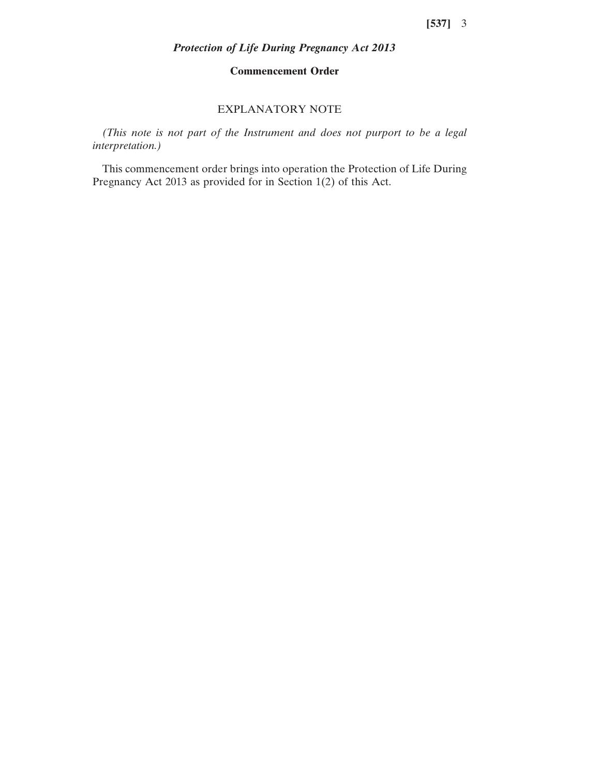## *Protection of Life During Pregnancy Act 2013*

### **Commencement Order**

### EXPLANATORY NOTE

*(This note is not part of the Instrument and does not purport to be a legal interpretation.)*

This commencement order brings into operation the Protection of Life During Pregnancy Act 2013 as provided for in Section 1(2) of this Act.